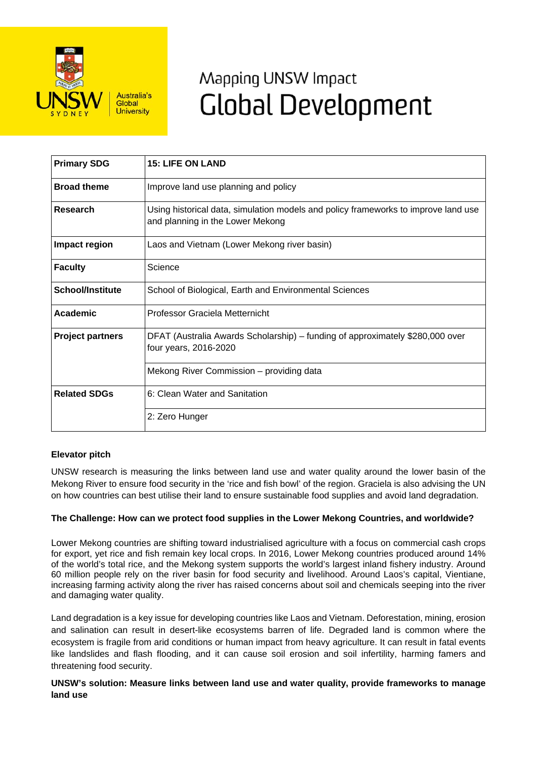

# Mapping UNSW Impact **Global Development**

| <b>Primary SDG</b>      | <b>15: LIFE ON LAND</b>                                                                                                |
|-------------------------|------------------------------------------------------------------------------------------------------------------------|
| <b>Broad theme</b>      | Improve land use planning and policy                                                                                   |
| Research                | Using historical data, simulation models and policy frameworks to improve land use<br>and planning in the Lower Mekong |
| Impact region           | Laos and Vietnam (Lower Mekong river basin)                                                                            |
| <b>Faculty</b>          | Science                                                                                                                |
| <b>School/Institute</b> | School of Biological, Earth and Environmental Sciences                                                                 |
| Academic                | Professor Graciela Metternicht                                                                                         |
| <b>Project partners</b> | DFAT (Australia Awards Scholarship) - funding of approximately \$280,000 over<br>four years, 2016-2020                 |
|                         | Mekong River Commission – providing data                                                                               |
| <b>Related SDGs</b>     | 6: Clean Water and Sanitation                                                                                          |
|                         | 2: Zero Hunger                                                                                                         |

## **Elevator pitch**

UNSW research is measuring the links between land use and water quality around the lower basin of the Mekong River to ensure food security in the 'rice and fish bowl' of the region. Graciela is also advising the UN on how countries can best utilise their land to ensure sustainable food supplies and avoid land degradation.

## **The Challenge: How can we protect food supplies in the Lower Mekong Countries, and worldwide?**

Lower Mekong countries are shifting toward industrialised agriculture with a focus on commercial cash crops for export, yet rice and fish remain key local crops. In 2016, Lower Mekong countries produced around 14% of the world's total rice, and the Mekong system supports the world's largest inland fishery industry. Around 60 million people rely on the river basin for food security and livelihood. Around Laos's capital, Vientiane, increasing farming activity along the river has raised concerns about soil and chemicals seeping into the river and damaging water quality.

Land degradation is a key issue for developing countries like Laos and Vietnam. Deforestation, mining, erosion and salination can result in desert-like ecosystems barren of life. Degraded land is common where the ecosystem is fragile from arid conditions or human impact from heavy agriculture. It can result in fatal events like landslides and flash flooding, and it can cause soil erosion and soil infertility, harming famers and threatening food security.

**UNSW's solution: Measure links between land use and water quality, provide frameworks to manage land use**